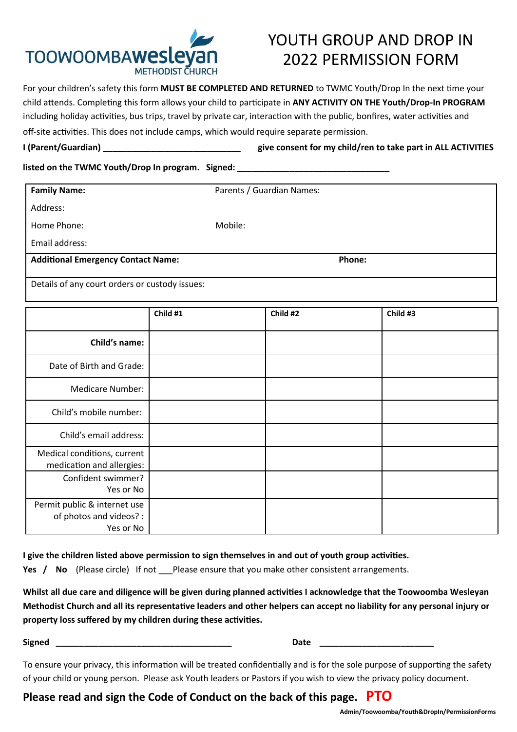

## YOUTH GROUP AND DROP IN 2022 PERMISSION FORM

For your children's safety this form **MUST BE COMPLETED AND RETURNED** to TWMC Youth/Drop In the next time your child attends. Completing this form allows your child to participate in **ANY ACTIVITY ON THE Youth/Drop-In PROGRAM** including holiday activities, bus trips, travel by private car, interaction with the public, bonfires, water activities and off-site activities. This does not include camps, which would require separate permission.

**I (Parent/Guardian) \_\_\_\_\_\_\_\_\_\_\_\_\_\_\_\_\_\_\_\_\_\_\_\_\_\_\_\_\_ give consent for my child/ren to take part in ALL ACTIVITIES** 

#### **listed on the TWMC Youth/Drop In program. Signed:** *listed* **on the TWMC Youth/Drop In program. Signed:**

| <b>Family Name:</b>                                                  |          | Parents / Guardian Names: |          |  |          |  |  |
|----------------------------------------------------------------------|----------|---------------------------|----------|--|----------|--|--|
| Address:                                                             |          |                           |          |  |          |  |  |
| Home Phone:                                                          |          | Mobile:                   |          |  |          |  |  |
| Email address:                                                       |          |                           |          |  |          |  |  |
| <b>Additional Emergency Contact Name:</b>                            | Phone:   |                           |          |  |          |  |  |
| Details of any court orders or custody issues:                       |          |                           |          |  |          |  |  |
|                                                                      | Child #1 |                           | Child #2 |  | Child #3 |  |  |
| Child's name:                                                        |          |                           |          |  |          |  |  |
| Date of Birth and Grade:                                             |          |                           |          |  |          |  |  |
| <b>Medicare Number:</b>                                              |          |                           |          |  |          |  |  |
| Child's mobile number:                                               |          |                           |          |  |          |  |  |
| Child's email address:                                               |          |                           |          |  |          |  |  |
| Medical conditions, current<br>medication and allergies:             |          |                           |          |  |          |  |  |
| Confident swimmer?<br>Yes or No                                      |          |                           |          |  |          |  |  |
| Permit public & internet use<br>of photos and videos? :<br>Yes or No |          |                           |          |  |          |  |  |

**I give the children listed above permission to sign themselves in and out of youth group activities.** 

**Yes / No** (Please circle) If not Please ensure that you make other consistent arrangements.

**Whilst all due care and diligence will be given during planned activities I acknowledge that the Toowoomba Wesleyan Methodist Church and all its representative leaders and other helpers can accept no liability for any personal injury or property loss suffered by my children during these activities.**

**Signed Calculate 2 Contract 2 Contract 2 Contract 2 Contract 2 Contract 2 Contract 2 Contract 2 Contract 2 Contract 2 Contract 2 Contract 2 Contract 2 Contract 2 Contract 2 Contract 2 Con** 

To ensure your privacy, this information will be treated confidentially and is for the sole purpose of supporting the safety of your child or young person. Please ask Youth leaders or Pastors if you wish to view the privacy policy document.

### **Please read and sign the Code of Conduct on the back of this page. PTO**